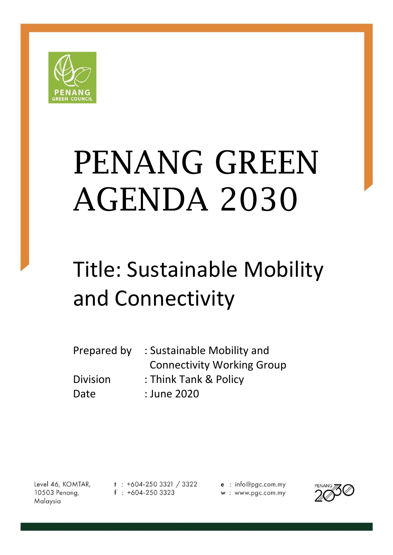

# PENANG GREEN AGENDA 2030

# Title: Sustainable Mobility and Connectivity

| Prepared by     | : Sustainable Mobility and        |
|-----------------|-----------------------------------|
|                 | <b>Connectivity Working Group</b> |
| <b>Division</b> | : Think Tank & Policy             |
| Date            | : June 2020                       |

Level 46, KOMTAR, 10503 Penang, Malaysia

 $t$  : +604-250 3321 / 3322  $f : +604-2503323$ 

e : info@pgc.com.my w: www.pgc.com.my

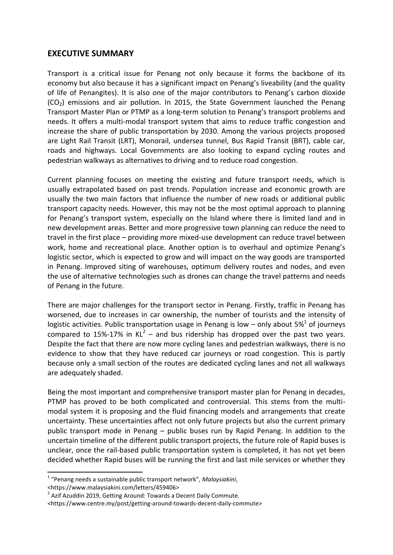# **EXECUTIVE SUMMARY**

Transport is a critical issue for Penang not only because it forms the backbone of its economy but also because it has a significant impact on Penang's liveability (and the quality of life of Penangites). It is also one of the major contributors to Penang's carbon dioxide  $(CO<sub>2</sub>)$  emissions and air pollution. In 2015, the State Government launched the Penang Transport Master Plan or PTMP as a long-term solution to Penang's transport problems and needs. It offers a multi-modal transport system that aims to reduce traffic congestion and increase the share of public transportation by 2030. Among the various projects proposed are Light Rail Transit (LRT), Monorail, undersea tunnel, Bus Rapid Transit (BRT), cable car, roads and highways. Local Governments are also looking to expand cycling routes and pedestrian walkways as alternatives to driving and to reduce road congestion.

Current planning focuses on meeting the existing and future transport needs, which is usually extrapolated based on past trends. Population increase and economic growth are usually the two main factors that influence the number of new roads or additional public transport capacity needs. However, this may not be the most optimal approach to planning for Penang's transport system, especially on the Island where there is limited land and in new development areas. Better and more progressive town planning can reduce the need to travel in the first place – providing more mixed-use development can reduce travel between work, home and recreational place. Another option is to overhaul and optimize Penang's logistic sector, which is expected to grow and will impact on the way goods are transported in Penang. Improved siting of warehouses, optimum delivery routes and nodes, and even the use of alternative technologies such as drones can change the travel patterns and needs of Penang in the future.

There are major challenges for the transport sector in Penang. Firstly, traffic in Penang has worsened, due to increases in car ownership, the number of tourists and the intensity of logistic activities. Public transportation usage in Penang is low – only about 5%<sup>1</sup> of journeys compared to 15%-17% in  $KL^2$  – and bus ridership has dropped over the past two years. Despite the fact that there are now more cycling lanes and pedestrian walkways, there is no evidence to show that they have reduced car journeys or road congestion. This is partly because only a small section of the routes are dedicated cycling lanes and not all walkways are adequately shaded.

Being the most important and comprehensive transport master plan for Penang in decades, PTMP has proved to be both complicated and controversial. This stems from the multimodal system it is proposing and the fluid financing models and arrangements that create uncertainty. These uncertainties affect not only future projects but also the current primary public transport mode in Penang – public buses run by Rapid Penang. In addition to the uncertain timeline of the different public transport projects, the future role of Rapid buses is unclear, once the rail-based public transportation system is completed, it has not yet been decided whether Rapid buses will be running the first and last mile services or whether they

**.** 

 $2$  Azif Azuddin 2019, Getting Around: Towards a Decent Daily Commute.

<sup>1</sup> "Penang needs a sustainable public transport network", *Malaysiakini*,

<sup>&</sup>lt;https://www.malaysiakini.com/letters/459406>

<sup>&</sup>lt;https://www.centre.my/post/getting-around-towards-decent-daily-commute>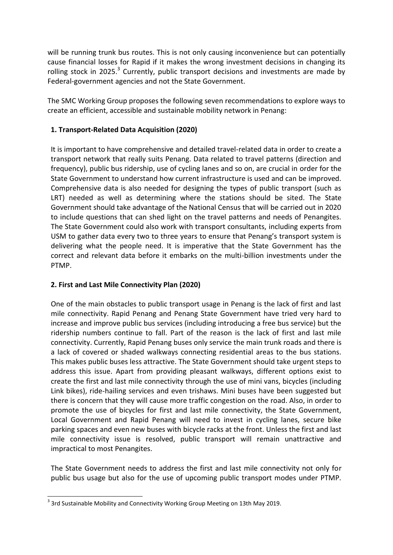will be running trunk bus routes. This is not only causing inconvenience but can potentially cause financial losses for Rapid if it makes the wrong investment decisions in changing its rolling stock in 2025. $3$  Currently, public transport decisions and investments are made by Federal-government agencies and not the State Government.

The SMC Working Group proposes the following seven recommendations to explore ways to create an efficient, accessible and sustainable mobility network in Penang:

#### **1. Transport-Related Data Acquisition (2020)**

It is important to have comprehensive and detailed travel-related data in order to create a transport network that really suits Penang. Data related to travel patterns (direction and frequency), public bus ridership, use of cycling lanes and so on, are crucial in order for the State Government to understand how current infrastructure is used and can be improved. Comprehensive data is also needed for designing the types of public transport (such as LRT) needed as well as determining where the stations should be sited. The State Government should take advantage of the National Census that will be carried out in 2020 to include questions that can shed light on the travel patterns and needs of Penangites. The State Government could also work with transport consultants, including experts from USM to gather data every two to three years to ensure that Penang's transport system is delivering what the people need. It is imperative that the State Government has the correct and relevant data before it embarks on the multi-billion investments under the PTMP.

#### **2. First and Last Mile Connectivity Plan (2020)**

One of the main obstacles to public transport usage in Penang is the lack of first and last mile connectivity. Rapid Penang and Penang State Government have tried very hard to increase and improve public bus services (including introducing a free bus service) but the ridership numbers continue to fall. Part of the reason is the lack of first and last mile connectivity. Currently, Rapid Penang buses only service the main trunk roads and there is a lack of covered or shaded walkways connecting residential areas to the bus stations. This makes public buses less attractive. The State Government should take urgent steps to address this issue. Apart from providing pleasant walkways, different options exist to create the first and last mile connectivity through the use of mini vans, bicycles (including Link bikes), ride-hailing services and even trishaws. Mini buses have been suggested but there is concern that they will cause more traffic congestion on the road. Also, in order to promote the use of bicycles for first and last mile connectivity, the State Government, Local Government and Rapid Penang will need to invest in cycling lanes, secure bike parking spaces and even new buses with bicycle racks at the front. Unless the first and last mile connectivity issue is resolved, public transport will remain unattractive and impractical to most Penangites.

The State Government needs to address the first and last mile connectivity not only for public bus usage but also for the use of upcoming public transport modes under PTMP.

<sup>1</sup>  $3$  3rd Sustainable Mobility and Connectivity Working Group Meeting on 13th May 2019.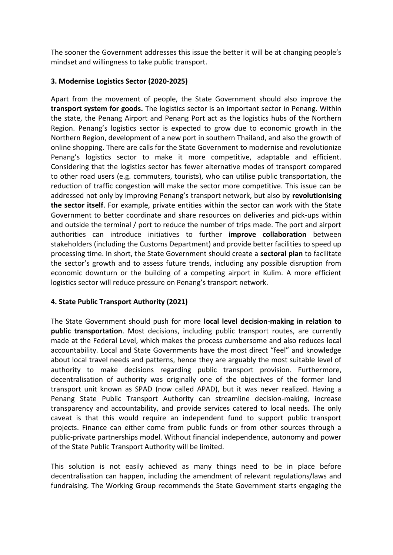The sooner the Government addresses this issue the better it will be at changing people's mindset and willingness to take public transport.

# **3. Modernise Logistics Sector (2020-2025)**

Apart from the movement of people, the State Government should also improve the **transport system for goods.** The logistics sector is an important sector in Penang. Within the state, the Penang Airport and Penang Port act as the logistics hubs of the Northern Region. Penang's logistics sector is expected to grow due to economic growth in the Northern Region, development of a new port in southern Thailand, and also the growth of online shopping. There are calls for the State Government to modernise and revolutionize Penang's logistics sector to make it more competitive, adaptable and efficient. Considering that the logistics sector has fewer alternative modes of transport compared to other road users (e.g. commuters, tourists), who can utilise public transportation, the reduction of traffic congestion will make the sector more competitive. This issue can be addressed not only by improving Penang's transport network, but also by **revolutionising the sector itself**. For example, private entities within the sector can work with the State Government to better coordinate and share resources on deliveries and pick-ups within and outside the terminal / port to reduce the number of trips made. The port and airport authorities can introduce initiatives to further **improve collaboration** between stakeholders (including the Customs Department) and provide better facilities to speed up processing time. In short, the State Government should create a **sectoral plan** to facilitate the sector's growth and to assess future trends, including any possible disruption from economic downturn or the building of a competing airport in Kulim. A more efficient logistics sector will reduce pressure on Penang's transport network.

#### **4. State Public Transport Authority (2021)**

The State Government should push for more **local level decision-making in relation to public transportation**. Most decisions, including public transport routes, are currently made at the Federal Level, which makes the process cumbersome and also reduces local accountability. Local and State Governments have the most direct "feel" and knowledge about local travel needs and patterns, hence they are arguably the most suitable level of authority to make decisions regarding public transport provision. Furthermore, decentralisation of authority was originally one of the objectives of the former land transport unit known as SPAD (now called APAD), but it was never realized. Having a Penang State Public Transport Authority can streamline decision-making, increase transparency and accountability, and provide services catered to local needs. The only caveat is that this would require an independent fund to support public transport projects. Finance can either come from public funds or from other sources through a public-private partnerships model. Without financial independence, autonomy and power of the State Public Transport Authority will be limited.

This solution is not easily achieved as many things need to be in place before decentralisation can happen, including the amendment of relevant regulations/laws and fundraising. The Working Group recommends the State Government starts engaging the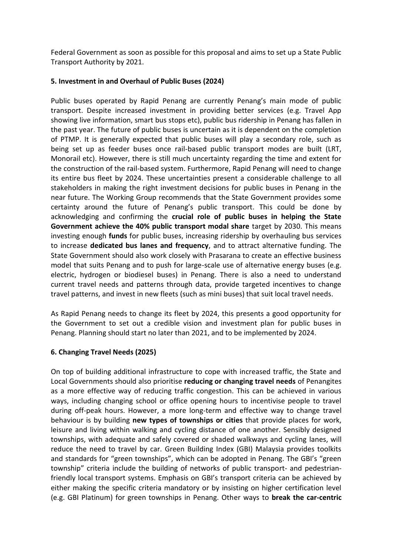Federal Government as soon as possible for this proposal and aims to set up a State Public Transport Authority by 2021.

#### **5. Investment in and Overhaul of Public Buses (2024)**

Public buses operated by Rapid Penang are currently Penang's main mode of public transport. Despite increased investment in providing better services (e.g. Travel App showing live information, smart bus stops etc), public bus ridership in Penang has fallen in the past year. The future of public buses is uncertain as it is dependent on the completion of PTMP. It is generally expected that public buses will play a secondary role, such as being set up as feeder buses once rail-based public transport modes are built (LRT, Monorail etc). However, there is still much uncertainty regarding the time and extent for the construction of the rail-based system. Furthermore, Rapid Penang will need to change its entire bus fleet by 2024. These uncertainties present a considerable challenge to all stakeholders in making the right investment decisions for public buses in Penang in the near future. The Working Group recommends that the State Government provides some certainty around the future of Penang's public transport. This could be done by acknowledging and confirming the **crucial role of public buses in helping the State Government achieve the 40% public transport modal share** target by 2030. This means investing enough **funds** for public buses, increasing ridership by overhauling bus services to increase **dedicated bus lanes and frequency**, and to attract alternative funding. The State Government should also work closely with Prasarana to create an effective business model that suits Penang and to push for large-scale use of alternative energy buses (e.g. electric, hydrogen or biodiesel buses) in Penang. There is also a need to understand current travel needs and patterns through data, provide targeted incentives to change travel patterns, and invest in new fleets (such as mini buses) that suit local travel needs.

As Rapid Penang needs to change its fleet by 2024, this presents a good opportunity for the Government to set out a credible vision and investment plan for public buses in Penang. Planning should start no later than 2021, and to be implemented by 2024.

#### **6. Changing Travel Needs (2025)**

On top of building additional infrastructure to cope with increased traffic, the State and Local Governments should also prioritise **reducing or changing travel needs** of Penangites as a more effective way of reducing traffic congestion. This can be achieved in various ways, including changing school or office opening hours to incentivise people to travel during off-peak hours. However, a more long-term and effective way to change travel behaviour is by building **new types of townships or cities** that provide places for work, leisure and living within walking and cycling distance of one another. Sensibly designed townships, with adequate and safely covered or shaded walkways and cycling lanes, will reduce the need to travel by car. Green Building Index (GBI) Malaysia provides toolkits and standards for "green townships", which can be adopted in Penang. The GBI's "green township" criteria include the building of networks of public transport- and pedestrianfriendly local transport systems. Emphasis on GBI's transport criteria can be achieved by either making the specific criteria mandatory or by insisting on higher certification level (e.g. GBI Platinum) for green townships in Penang. Other ways to **break the car-centric**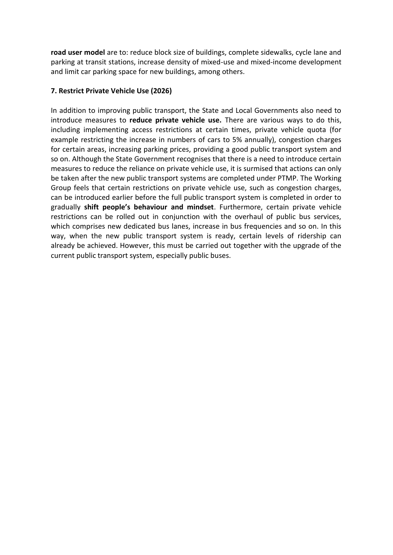**road user model** are to: reduce block size of buildings, complete sidewalks, cycle lane and parking at transit stations, increase density of mixed-use and mixed-income development and limit car parking space for new buildings, among others.

# **7. Restrict Private Vehicle Use (2026)**

In addition to improving public transport, the State and Local Governments also need to introduce measures to **reduce private vehicle use.** There are various ways to do this, including implementing access restrictions at certain times, private vehicle quota (for example restricting the increase in numbers of cars to 5% annually), congestion charges for certain areas, increasing parking prices, providing a good public transport system and so on. Although the State Government recognises that there is a need to introduce certain measures to reduce the reliance on private vehicle use, it is surmised that actions can only be taken after the new public transport systems are completed under PTMP. The Working Group feels that certain restrictions on private vehicle use, such as congestion charges, can be introduced earlier before the full public transport system is completed in order to gradually **shift people's behaviour and mindset**. Furthermore, certain private vehicle restrictions can be rolled out in conjunction with the overhaul of public bus services, which comprises new dedicated bus lanes, increase in bus frequencies and so on. In this way, when the new public transport system is ready, certain levels of ridership can already be achieved. However, this must be carried out together with the upgrade of the current public transport system, especially public buses.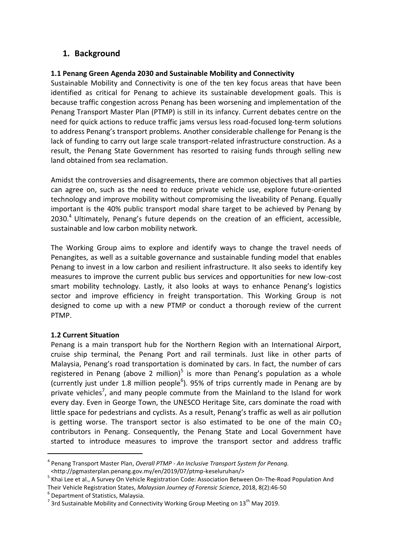# **1. Background**

#### **1.1 Penang Green Agenda 2030 and Sustainable Mobility and Connectivity**

Sustainable Mobility and Connectivity is one of the ten key focus areas that have been identified as critical for Penang to achieve its sustainable development goals. This is because traffic congestion across Penang has been worsening and implementation of the Penang Transport Master Plan (PTMP) is still in its infancy. Current debates centre on the need for quick actions to reduce traffic jams versus less road-focused long-term solutions to address Penang's transport problems. Another considerable challenge for Penang is the lack of funding to carry out large scale transport-related infrastructure construction. As a result, the Penang State Government has resorted to raising funds through selling new land obtained from sea reclamation.

Amidst the controversies and disagreements, there are common objectives that all parties can agree on, such as the need to reduce private vehicle use, explore future-oriented technology and improve mobility without compromising the liveability of Penang. Equally important is the 40% public transport modal share target to be achieved by Penang by  $2030.<sup>4</sup>$  Ultimately, Penang's future depends on the creation of an efficient, accessible, sustainable and low carbon mobility network.

The Working Group aims to explore and identify ways to change the travel needs of Penangites, as well as a suitable governance and sustainable funding model that enables Penang to invest in a low carbon and resilient infrastructure. It also seeks to identify key measures to improve the current public bus services and opportunities for new low-cost smart mobility technology. Lastly, it also looks at ways to enhance Penang's logistics sector and improve efficiency in freight transportation. This Working Group is not designed to come up with a new PTMP or conduct a thorough review of the current PTMP.

#### **1.2 Current Situation**

Penang is a main transport hub for the Northern Region with an International Airport, cruise ship terminal, the Penang Port and rail terminals. Just like in other parts of Malaysia, Penang's road transportation is dominated by cars. In fact, the number of cars registered in Penang (above 2 million)<sup>5</sup> is more than Penang's population as a whole (currently just under 1.8 million people<sup>6</sup>). 95% of trips currently made in Penang are by private vehicles<sup>7</sup>, and many people commute from the Mainland to the Island for work every day. Even in George Town, the UNESCO Heritage Site, cars dominate the road with little space for pedestrians and cyclists. As a result, Penang's traffic as well as air pollution is getting worse. The transport sector is also estimated to be one of the main  $CO<sub>2</sub>$ contributors in Penang. Consequently, the Penang State and Local Government have started to introduce measures to improve the transport sector and address traffic

Their Vehicle Registration States, *Malaysian Journey of Forensic Science*, 2018, 8(2):46-50

**.** 

<sup>4</sup> Penang Transport Master Plan, *Overall PTMP - An Inclusive Transport System for Penang.* [<http://pgmasterplan.penang.gov.my/en/2019/07/ptmp-keseluruhan/>](http://pgmasterplan.penang.gov.my/en/2019/07/ptmp-keseluruhan/)

<sup>&</sup>lt;sup>5</sup> Khai Lee et al., A Survey On Vehicle Registration Code: Association Between On-The-Road Population And

<sup>6</sup> Department of Statistics, Malaysia.

 $^7$  3rd Sustainable Mobility and Connectivity Working Group Meeting on 13<sup>th</sup> May 2019.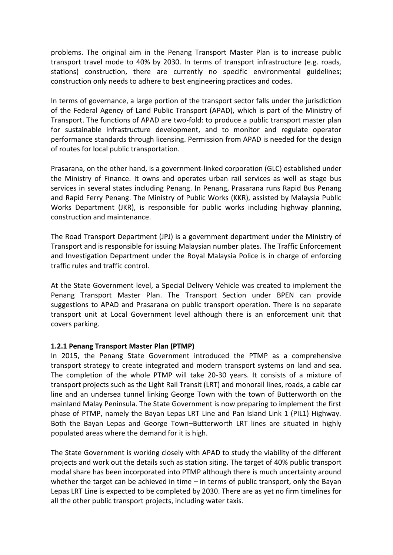problems. The original aim in the Penang Transport Master Plan is to increase public transport travel mode to 40% by 2030. In terms of transport infrastructure (e.g. roads, stations) construction, there are currently no specific environmental guidelines; construction only needs to adhere to best engineering practices and codes.

In terms of governance, a large portion of the transport sector falls under the jurisdiction of the Federal Agency of Land Public Transport (APAD), which is part of the Ministry of Transport. The functions of APAD are two-fold: to produce a public transport master plan for sustainable infrastructure development, and to monitor and regulate operator performance standards through licensing. Permission from APAD is needed for the design of routes for local public transportation.

Prasarana, on the other hand, is a government-linked corporation (GLC) established under the Ministry of Finance. It owns and operates urban rail services as well as stage bus services in several states including Penang. In Penang, Prasarana runs Rapid Bus Penang and Rapid Ferry Penang. The Ministry of Public Works (KKR), assisted by Malaysia Public Works Department (JKR), is responsible for public works including highway planning, construction and maintenance.

The Road Transport Department (JPJ) is a government department under the Ministry of Transport and is responsible for issuing Malaysian number plates. The Traffic Enforcement and Investigation Department under the Royal Malaysia Police is in charge of enforcing traffic rules and traffic control.

At the State Government level, a Special Delivery Vehicle was created to implement the Penang Transport Master Plan. The Transport Section under BPEN can provide suggestions to APAD and Prasarana on public transport operation. There is no separate transport unit at Local Government level although there is an enforcement unit that covers parking.

#### **1.2.1 Penang Transport Master Plan (PTMP)**

In 2015, the Penang State Government introduced the PTMP as a comprehensive transport strategy to create integrated and modern transport systems on land and sea. The completion of the whole PTMP will take 20-30 years. It consists of a mixture of transport projects such as the Light Rail Transit (LRT) and monorail lines, roads, a cable car line and an undersea tunnel linking George Town with the town of Butterworth on the mainland Malay Peninsula. The State Government is now preparing to implement the first phase of PTMP, namely the Bayan Lepas LRT Line and Pan Island Link 1 (PIL1) Highway. Both the Bayan Lepas and George Town–Butterworth LRT lines are situated in highly populated areas where the demand for it is high.

The State Government is working closely with APAD to study the viability of the different projects and work out the details such as station siting. The target of 40% public transport modal share has been incorporated into PTMP although there is much uncertainty around whether the target can be achieved in time  $-$  in terms of public transport, only the Bayan Lepas LRT Line is expected to be completed by 2030. There are as yet no firm timelines for all the other public transport projects, including water taxis.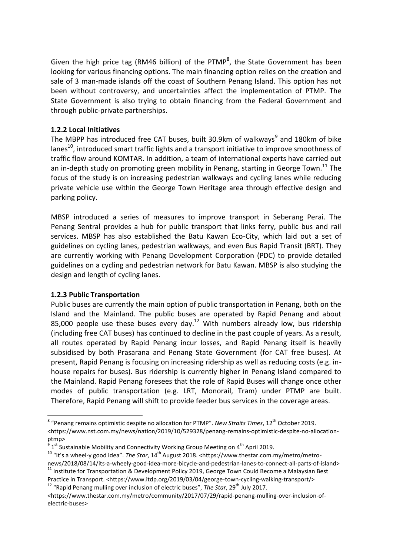Given the high price tag (RM46 billion) of the PTMP<sup>8</sup>, the State Government has been looking for various financing options. The main financing option relies on the creation and sale of 3 man-made islands off the coast of Southern Penang Island. This option has not been without controversy, and uncertainties affect the implementation of PTMP. The State Government is also trying to obtain financing from the Federal Government and through public-private partnerships.

#### **1.2.2 Local Initiatives**

The MBPP has introduced free CAT buses, built 30.9km of walkways $^9$  and 180km of bike lanes $^{10}$ , introduced smart traffic lights and a transport initiative to improve smoothness of traffic flow around KOMTAR. In addition, a team of international experts have carried out an in-depth study on promoting green mobility in Penang, starting in George Town.<sup>11</sup> The focus of the study is on increasing pedestrian walkways and cycling lanes while reducing private vehicle use within the George Town Heritage area through effective design and parking policy.

MBSP introduced a series of measures to improve transport in Seberang Perai. The Penang Sentral provides a hub for public transport that links ferry, public bus and rail services. MBSP has also established the Batu Kawan Eco-City, which laid out a set of guidelines on cycling lanes, pedestrian walkways, and even Bus Rapid Transit (BRT). They are currently working with Penang Development Corporation (PDC) to provide detailed guidelines on a cycling and pedestrian network for Batu Kawan. MBSP is also studying the design and length of cycling lanes.

#### **1.2.3 Public Transportation**

Public buses are currently the main option of public transportation in Penang, both on the Island and the Mainland. The public buses are operated by Rapid Penang and about 85,000 people use these buses every day.<sup>12</sup> With numbers already low, bus ridership (including free CAT buses) has continued to decline in the past couple of years. As a result, all routes operated by Rapid Penang incur losses, and Rapid Penang itself is heavily subsidised by both Prasarana and Penang State Government (for CAT free buses). At present, Rapid Penang is focusing on increasing ridership as well as reducing costs (e.g. inhouse repairs for buses). Bus ridership is currently higher in Penang Island compared to the Mainland. Rapid Penang foresees that the role of Rapid Buses will change once other modes of public transportation (e.g. LRT, Monorail, Tram) under PTMP are built. Therefore, Rapid Penang will shift to provide feeder bus services in the coverage areas.

<sup>12</sup> "Rapid Penang mulling over inclusion of electric buses", *The Star*, 29<sup>th</sup> July 2017.

 8 "Penang remains optimistic despite no allocation for PTMP". *New Straits Times*, 12th October 2019. <https://www.nst.com.my/news/nation/2019/10/529328/penang-remains-optimistic-despite-no-allocationptmp>

 $^9$  1<sup>st</sup> Sustainable Mobility and Connectivity Working Group Meeting on 4<sup>th</sup> April 2019.

<sup>&</sup>lt;sup>10</sup> "It's a wheel-y good idea". *The Star*, 14<sup>th</sup> August 2018. <https://www.thestar.com.my/metro/metronews/2018/08/14/its-a-wheely-good-idea-more-bicycle-and-pedestrian-lanes-to-connect-all-parts-of-island>  $11$  Institute for Transportation & Development Policy 2019, George Town Could Become a Malaysian Best Practice in Transport. <https://www.itdp.org/2019/03/04/george-town-cycling-walking-transport/>

<sup>&</sup>lt;https://www.thestar.com.my/metro/community/2017/07/29/rapid-penang-mulling-over-inclusion-ofelectric-buses>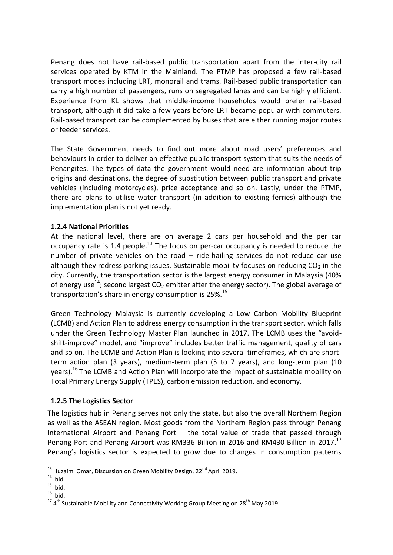Penang does not have rail-based public transportation apart from the inter-city rail services operated by KTM in the Mainland. The PTMP has proposed a few rail-based transport modes including LRT, monorail and trams. Rail-based public transportation can carry a high number of passengers, runs on segregated lanes and can be highly efficient. Experience from KL shows that middle-income households would prefer rail-based transport, although it did take a few years before LRT became popular with commuters. Rail-based transport can be complemented by buses that are either running major routes or feeder services.

The State Government needs to find out more about road users' preferences and behaviours in order to deliver an effective public transport system that suits the needs of Penangites. The types of data the government would need are information about trip origins and destinations, the degree of substitution between public transport and private vehicles (including motorcycles), price acceptance and so on. Lastly, under the PTMP, there are plans to utilise water transport (in addition to existing ferries) although the implementation plan is not yet ready.

#### **1.2.4 National Priorities**

At the national level, there are on average 2 cars per household and the per car occupancy rate is 1.4 people.<sup>13</sup> The focus on per-car occupancy is needed to reduce the number of private vehicles on the road – ride-hailing services do not reduce car use although they redress parking issues. Sustainable mobility focuses on reducing  $CO<sub>2</sub>$  in the city. Currently, the transportation sector is the largest energy consumer in Malaysia (40% of energy use<sup>14</sup>; second largest CO<sub>2</sub> emitter after the energy sector). The global average of transportation's share in energy consumption is 25%.<sup>15</sup>

Green Technology Malaysia is currently developing a Low Carbon Mobility Blueprint (LCMB) and Action Plan to address energy consumption in the transport sector, which falls under the Green Technology Master Plan launched in 2017. The LCMB uses the "avoidshift-improve" model, and "improve" includes better traffic management, quality of cars and so on. The LCMB and Action Plan is looking into several timeframes, which are shortterm action plan (3 years), medium-term plan (5 to 7 years), and long-term plan (10 years).<sup>16</sup> The LCMB and Action Plan will incorporate the impact of sustainable mobility on Total Primary Energy Supply (TPES), carbon emission reduction, and economy.

#### **1.2.5 The Logistics Sector**

The logistics hub in Penang serves not only the state, but also the overall Northern Region as well as the ASEAN region. Most goods from the Northern Region pass through Penang International Airport and Penang Port – the total value of trade that passed through Penang Port and Penang Airport was RM336 Billion in 2016 and RM430 Billion in 2017.<sup>17</sup> Penang's logistics sector is expected to grow due to changes in consumption patterns

1

 $^{13}$  Huzaimi Omar, Discussion on Green Mobility Design, 22<sup>nd</sup> April 2019.

 $14$  Ibid.

 $15$  Ibid.

 $16 \overline{16}$  Ibid.

 $17$  4<sup>th</sup> Sustainable Mobility and Connectivity Working Group Meeting on 28<sup>th</sup> May 2019.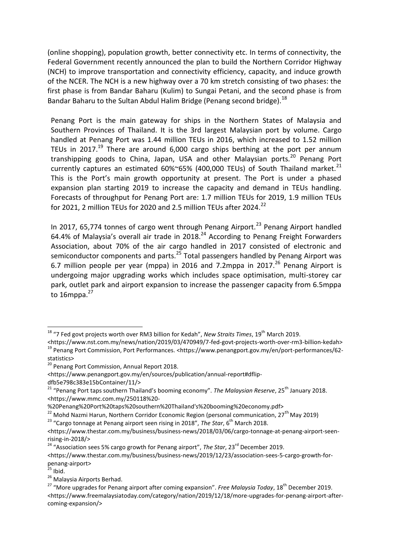(online shopping), population growth, better connectivity etc. In terms of connectivity, the Federal Government recently announced the plan to build the Northern Corridor Highway (NCH) to improve transportation and connectivity efficiency, capacity, and induce growth of the NCER. The NCH is a new highway over a 70 km stretch consisting of two phases: the first phase is from Bandar Baharu (Kulim) to Sungai Petani, and the second phase is from Bandar Baharu to the Sultan Abdul Halim Bridge (Penang second bridge).  $^{18}$ 

Penang Port is the main gateway for ships in the Northern States of Malaysia and Southern Provinces of Thailand. It is the 3rd largest Malaysian port by volume. Cargo handled at Penang Port was 1.44 million TEUs in 2016, which increased to 1.52 million TEUs in 2017.<sup>19</sup> There are around 6,000 cargo ships berthing at the port per annum transhipping goods to China, Japan, USA and other Malaysian ports.<sup>20</sup> Penang Port currently captures an estimated  $60\%$   $65\%$  (400,000 TEUs) of South Thailand market.<sup>21</sup> This is the Port's main growth opportunity at present. The Port is under a phased expansion plan starting 2019 to increase the capacity and demand in TEUs handling. Forecasts of throughput for Penang Port are: 1.7 million TEUs for 2019, 1.9 million TEUs for 2021, 2 million TEUs for 2020 and 2.5 million TEUs after 2024.<sup>22</sup>

In 2017, 65,774 tonnes of cargo went through Penang Airport.<sup>23</sup> Penang Airport handled 64.4% of Malaysia's overall air trade in 2018.<sup>24</sup> According to Penang Freight Forwarders Association, about 70% of the air cargo handled in 2017 consisted of electronic and semiconductor components and parts. $25$  Total passengers handled by Penang Airport was 6.7 million people per year (mppa) in 2016 and 7.2mppa in 2017. $^{26}$  Penang Airport is undergoing major upgrading works which includes space optimisation, multi-storey car park, outlet park and airport expansion to increase the passenger capacity from 6.5mppa to  $16$ mppa. $27$ 

<sup>23</sup> "Cargo tonnage at Penang airport seen rising in 2018", *The Star*, 6<sup>th</sup> March 2018.

<sup>24</sup> "Association sees 5% cargo growth for Penang airport", *The Star*, 23<sup>rd</sup> December 2019.

**.** 

<sup>&</sup>lt;sup>18</sup> "7 Fed govt projects worth over RM3 billion for Kedah", *New Straits Times*, 19<sup>th</sup> March 2019.

<sup>&</sup>lt;https://www.nst.com.my/news/nation/2019/03/470949/7-fed-govt-projects-worth-over-rm3-billion-kedah> <sup>19</sup> Penang Port Commission, Port Performances. <https://www.penangport.gov.my/en/port-performances/62statistics>

<sup>&</sup>lt;sup>20</sup> Penang Port Commission, Annual Report 2018.

<sup>&</sup>lt;https://www.penangport.gov.my/en/sources/publication/annual-report#dflip-

dfb5e798c383e15bContainer/11/>

<sup>&</sup>lt;sup>21</sup> "Penang Port taps southern Thailand's booming economy". *The Malaysian Reserve*, 25<sup>th</sup> January 2018. <https://www.mmc.com.my/250118%20-

<sup>%20</sup>Penang%20Port%20taps%20southern%20Thailand's%20booming%20economy.pdf>

<sup>&</sup>lt;sup>22</sup> Mohd Nazmi Harun, Northern Corridor Economic Region (personal communication, 27<sup>th</sup> May 2019)

<sup>&</sup>lt;https://www.thestar.com.my/business/business-news/2018/03/06/cargo-tonnage-at-penang-airport-seenrising-in-2018/>

<sup>&</sup>lt;https://www.thestar.com.my/business/business-news/2019/12/23/association-sees-5-cargo-growth-forpenang-airport>

 $^{25}$  Ibid.

<sup>&</sup>lt;sup>26</sup> Malaysia Airports Berhad.

<sup>&</sup>lt;sup>27</sup> "More upgrades for Penang airport after coming expansion". *Free Malaysia Today*, 18<sup>th</sup> December 2019. <https://www.freemalaysiatoday.com/category/nation/2019/12/18/more-upgrades-for-penang-airport-aftercoming-expansion/>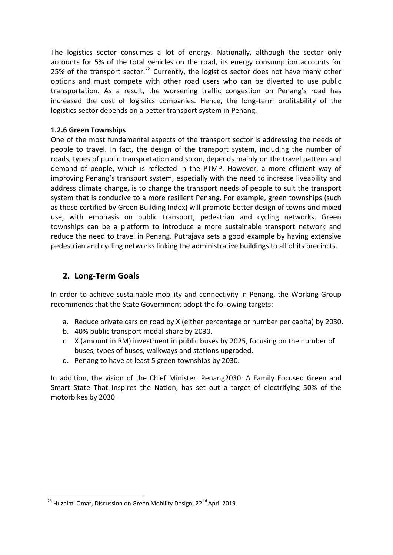The logistics sector consumes a lot of energy. Nationally, although the sector only accounts for 5% of the total vehicles on the road, its energy consumption accounts for 25% of the transport sector.<sup>28</sup> Currently, the logistics sector does not have many other options and must compete with other road users who can be diverted to use public transportation. As a result, the worsening traffic congestion on Penang's road has increased the cost of logistics companies. Hence, the long-term profitability of the logistics sector depends on a better transport system in Penang.

#### **1.2.6 Green Townships**

One of the most fundamental aspects of the transport sector is addressing the needs of people to travel. In fact, the design of the transport system, including the number of roads, types of public transportation and so on, depends mainly on the travel pattern and demand of people, which is reflected in the PTMP. However, a more efficient way of improving Penang's transport system, especially with the need to increase liveability and address climate change, is to change the transport needs of people to suit the transport system that is conducive to a more resilient Penang. For example, green townships (such as those certified by Green Building Index) will promote better design of towns and mixed use, with emphasis on public transport, pedestrian and cycling networks. Green townships can be a platform to introduce a more sustainable transport network and reduce the need to travel in Penang. Putrajaya sets a good example by having extensive pedestrian and cycling networks linking the administrative buildings to all of its precincts.

# **2. Long-Term Goals**

In order to achieve sustainable mobility and connectivity in Penang, the Working Group recommends that the State Government adopt the following targets:

- a. Reduce private cars on road by X (either percentage or number per capita) by 2030.
- b. 40% public transport modal share by 2030.
- c. X (amount in RM) investment in public buses by 2025, focusing on the number of buses, types of buses, walkways and stations upgraded.
- d. Penang to have at least 5 green townships by 2030.

In addition, the vision of the Chief Minister, Penang2030: A Family Focused Green and Smart State That Inspires the Nation, has set out a target of electrifying 50% of the motorbikes by 2030.

**.** 

<sup>&</sup>lt;sup>28</sup> Huzaimi Omar, Discussion on Green Mobility Design, 22<sup>nd</sup> April 2019.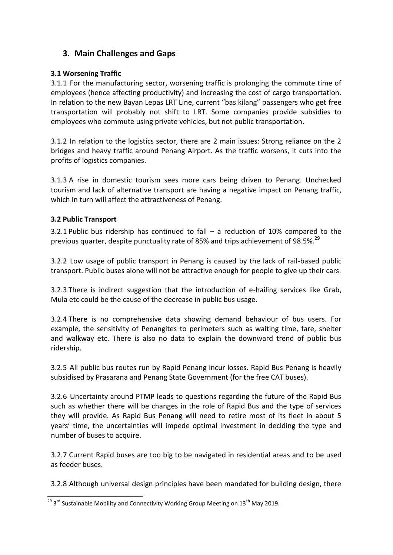# **3. Main Challenges and Gaps**

#### **3.1 Worsening Traffic**

3.1.1 For the manufacturing sector, worsening traffic is prolonging the commute time of employees (hence affecting productivity) and increasing the cost of cargo transportation. In relation to the new Bayan Lepas LRT Line, current "bas kilang" passengers who get free transportation will probably not shift to LRT. Some companies provide subsidies to employees who commute using private vehicles, but not public transportation.

3.1.2 In relation to the logistics sector, there are 2 main issues: Strong reliance on the 2 bridges and heavy traffic around Penang Airport. As the traffic worsens, it cuts into the profits of logistics companies.

3.1.3 A rise in domestic tourism sees more cars being driven to Penang. Unchecked tourism and lack of alternative transport are having a negative impact on Penang traffic, which in turn will affect the attractiveness of Penang.

#### **3.2 Public Transport**

3.2.1 Public bus ridership has continued to fall – a reduction of 10% compared to the previous quarter, despite punctuality rate of 85% and trips achievement of 98.5%.<sup>29</sup>

3.2.2 Low usage of public transport in Penang is caused by the lack of rail-based public transport. Public buses alone will not be attractive enough for people to give up their cars.

3.2.3 There is indirect suggestion that the introduction of e-hailing services like Grab, Mula etc could be the cause of the decrease in public bus usage.

3.2.4 There is no comprehensive data showing demand behaviour of bus users. For example, the sensitivity of Penangites to perimeters such as waiting time, fare, shelter and walkway etc. There is also no data to explain the downward trend of public bus ridership.

3.2.5 All public bus routes run by Rapid Penang incur losses. Rapid Bus Penang is heavily subsidised by Prasarana and Penang State Government (for the free CAT buses).

3.2.6 Uncertainty around PTMP leads to questions regarding the future of the Rapid Bus such as whether there will be changes in the role of Rapid Bus and the type of services they will provide. As Rapid Bus Penang will need to retire most of its fleet in about 5 years' time, the uncertainties will impede optimal investment in deciding the type and number of buses to acquire.

3.2.7 Current Rapid buses are too big to be navigated in residential areas and to be used as feeder buses.

3.2.8 Although universal design principles have been mandated for building design, there

<sup>1</sup>  $^{29}$  3<sup>rd</sup> Sustainable Mobility and Connectivity Working Group Meeting on 13<sup>th</sup> May 2019.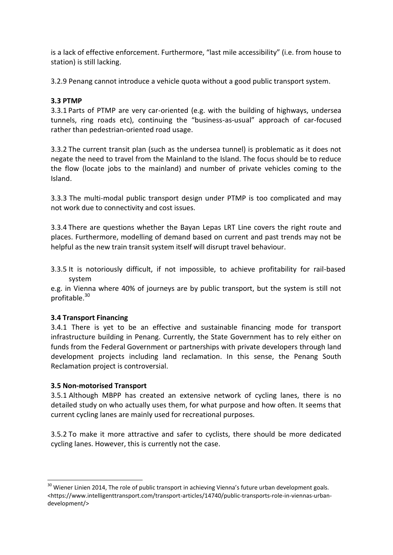is a lack of effective enforcement. Furthermore, "last mile accessibility" (i.e. from house to station) is still lacking.

3.2.9 Penang cannot introduce a vehicle quota without a good public transport system.

#### **3.3 PTMP**

3.3.1 Parts of PTMP are very car-oriented (e.g. with the building of highways, undersea tunnels, ring roads etc), continuing the "business-as-usual" approach of car-focused rather than pedestrian-oriented road usage.

3.3.2 The current transit plan (such as the undersea tunnel) is problematic as it does not negate the need to travel from the Mainland to the Island. The focus should be to reduce the flow (locate jobs to the mainland) and number of private vehicles coming to the Island.

3.3.3 The multi-modal public transport design under PTMP is too complicated and may not work due to connectivity and cost issues.

3.3.4 There are questions whether the Bayan Lepas LRT Line covers the right route and places. Furthermore, modelling of demand based on current and past trends may not be helpful as the new train transit system itself will disrupt travel behaviour.

3.3.5 It is notoriously difficult, if not impossible, to achieve profitability for rail-based system

e.g. in Vienna where 40% of journeys are by public transport, but the system is still not profitable.<sup>30</sup>

#### **3.4 Transport Financing**

3.4.1 There is yet to be an effective and sustainable financing mode for transport infrastructure building in Penang. Currently, the State Government has to rely either on funds from the Federal Government or partnerships with private developers through land development projects including land reclamation. In this sense, the Penang South Reclamation project is controversial.

#### **3.5 Non-motorised Transport**

1

3.5.1 Although MBPP has created an extensive network of cycling lanes, there is no detailed study on who actually uses them, for what purpose and how often. It seems that current cycling lanes are mainly used for recreational purposes.

3.5.2 To make it more attractive and safer to cyclists, there should be more dedicated cycling lanes. However, this is currently not the case.

<sup>&</sup>lt;sup>30</sup> Wiener Linien 2014, The role of public transport in achieving Vienna's future urban development goals. <https://www.intelligenttransport.com/transport-articles/14740/public-transports-role-in-viennas-urbandevelopment/>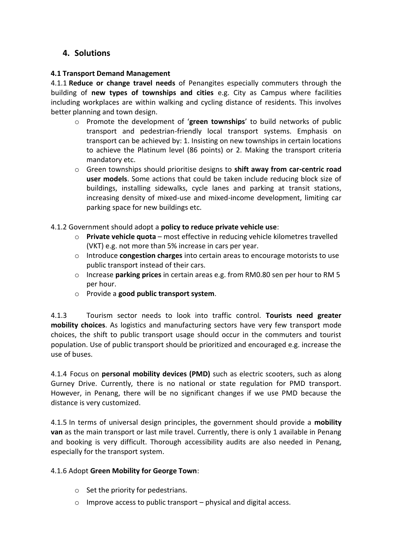# **4. Solutions**

#### **4.1 Transport Demand Management**

4.1.1 **Reduce or change travel needs** of Penangites especially commuters through the building of **new types of townships and cities** e.g. City as Campus where facilities including workplaces are within walking and cycling distance of residents. This involves better planning and town design.

- o Promote the development of '**green townships**' to build networks of public transport and pedestrian-friendly local transport systems. Emphasis on transport can be achieved by: 1. Insisting on new townships in certain locations to achieve the Platinum level (86 points) or 2. Making the transport criteria mandatory etc.
- o Green townships should prioritise designs to **shift away from car-centric road user models**. Some actions that could be taken include reducing block size of buildings, installing sidewalks, cycle lanes and parking at transit stations, increasing density of mixed-use and mixed-income development, limiting car parking space for new buildings etc.

#### 4.1.2 Government should adopt a **policy to reduce private vehicle use**:

- o **Private vehicle quota**  most effective in reducing vehicle kilometres travelled (VKT) e.g. not more than 5% increase in cars per year.
- o Introduce **congestion charges** into certain areas to encourage motorists to use public transport instead of their cars.
- o Increase **parking prices** in certain areas e.g. from RM0.80 sen per hour to RM 5 per hour.
- o Provide a **good public transport system**.

4.1.3 Tourism sector needs to look into traffic control. **Tourists need greater mobility choices**. As logistics and manufacturing sectors have very few transport mode choices, the shift to public transport usage should occur in the commuters and tourist population. Use of public transport should be prioritized and encouraged e.g. increase the use of buses.

4.1.4 Focus on **personal mobility devices (PMD)** such as electric scooters, such as along Gurney Drive. Currently, there is no national or state regulation for PMD transport. However, in Penang, there will be no significant changes if we use PMD because the distance is very customized.

4.1.5 In terms of universal design principles, the government should provide a **mobility van** as the main transport or last mile travel. Currently, there is only 1 available in Penang and booking is very difficult. Thorough accessibility audits are also needed in Penang, especially for the transport system.

#### 4.1.6 Adopt **Green Mobility for George Town**:

- $\circ$  Set the priority for pedestrians.
- $\circ$  Improve access to public transport physical and digital access.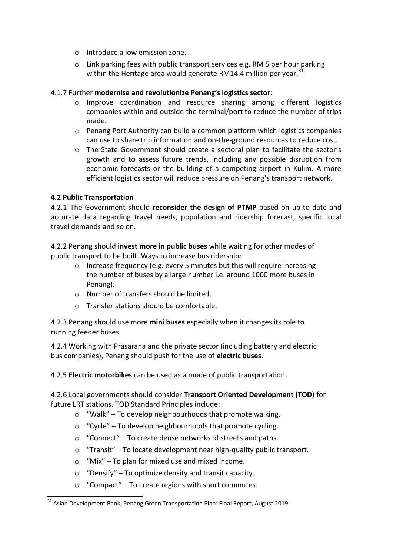- o Introduce a low emission zone.
- $\circ$  Link parking fees with public transport services e.g. RM 5 per hour parking within the Heritage area would generate RM14.4 million per year. $31$

#### 4.1.7 Further **modernise and revolutionize Penang's logistics sector**:

- o Improve coordination and resource sharing among different logistics companies within and outside the terminal/port to reduce the number of trips made.
- $\circ$  Penang Port Authority can build a common platform which logistics companies can use to share trip information and on-the-ground resources to reduce cost.
- o The State Government should create a sectoral plan to facilitate the sector's growth and to assess future trends, including any possible disruption from economic forecasts or the building of a competing airport in Kulim. A more efficient logistics sector will reduce pressure on Penang's transport network.

#### **4.2 Public Transportation**

1

4.2.1 The Government should **reconsider the design of PTMP** based on up-to-date and accurate data regarding travel needs, population and ridership forecast, specific local travel demands and so on.

4.2.2 Penang should **invest more in public buses** while waiting for other modes of public transport to be built. Ways to increase bus ridership:

- o Increase frequency (e.g. every 5 minutes but this will require increasing the number of buses by a large number i.e. around 1000 more buses in Penang).
- o Number of transfers should be limited.
- o Transfer stations should be comfortable.

4.2.3 Penang should use more **mini buses** especially when it changes its role to running feeder buses.

4.2.4 Working with Prasarana and the private sector (including battery and electric bus companies), Penang should push for the use of **electric buses**.

4.2.5 **Electric motorbikes** can be used as a mode of public transportation.

4.2.6 Local governments should consider **Transport Oriented Development (TOD)** for future LRT stations. TOD Standard Principles include:

- $\circ$  "Walk" To develop neighbourhoods that promote walking.
- $\circ$  "Cycle" To develop neighbourhoods that promote cycling.
- o "Connect" To create dense networks of streets and paths.
- o "Transit" To locate development near high-quality public transport.
- $\circ$  "Mix" To plan for mixed use and mixed income.
- $\circ$  "Densify" To optimize density and transit capacity.
- o "Compact" To create regions with short commutes.

<sup>&</sup>lt;sup>31</sup> Asian Development Bank, Penang Green Transportation Plan: Final Report, August 2019.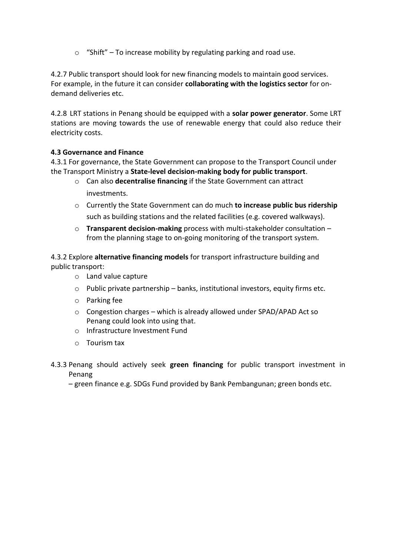$\circ$  "Shift" – To increase mobility by regulating parking and road use.

4.2.7 Public transport should look for new financing models to maintain good services. For example, in the future it can consider **collaborating with the logistics sector** for ondemand deliveries etc.

4.2.8 LRT stations in Penang should be equipped with a **solar power generator**. Some LRT stations are moving towards the use of renewable energy that could also reduce their electricity costs.

# **4.3 Governance and Finance**

4.3.1 For governance, the State Government can propose to the Transport Council under the Transport Ministry a **State-level decision-making body for public transport**.

- o Can also **decentralise financing** if the State Government can attract investments.
- o Currently the State Government can do much **to increase public bus ridership** such as building stations and the related facilities (e.g. covered walkways).
- o **Transparent decision-making** process with multi-stakeholder consultation from the planning stage to on-going monitoring of the transport system.

4.3.2 Explore **alternative financing models** for transport infrastructure building and public transport:

- o Land value capture
- $\circ$  Public private partnership banks, institutional investors, equity firms etc.
- o Parking fee
- $\circ$  Congestion charges which is already allowed under SPAD/APAD Act so Penang could look into using that.
- o Infrastructure Investment Fund
- o Tourism tax
- 4.3.3 Penang should actively seek **green financing** for public transport investment in Penang

– green finance e.g. SDGs Fund provided by Bank Pembangunan; green bonds etc.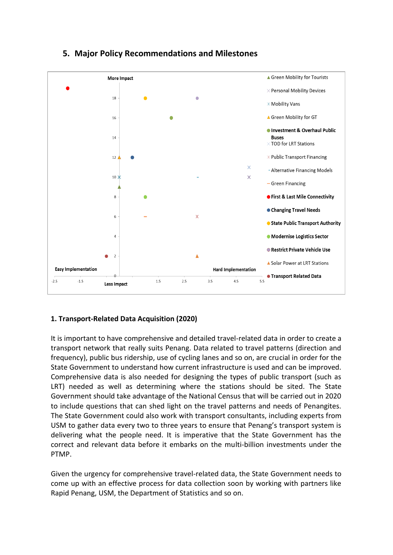

# **5. Major Policy Recommendations and Milestones**

# **1. Transport-Related Data Acquisition (2020)**

It is important to have comprehensive and detailed travel-related data in order to create a transport network that really suits Penang. Data related to travel patterns (direction and frequency), public bus ridership, use of cycling lanes and so on, are crucial in order for the State Government to understand how current infrastructure is used and can be improved. Comprehensive data is also needed for designing the types of public transport (such as LRT) needed as well as determining where the stations should be sited. The State Government should take advantage of the National Census that will be carried out in 2020 to include questions that can shed light on the travel patterns and needs of Penangites. The State Government could also work with transport consultants, including experts from USM to gather data every two to three years to ensure that Penang's transport system is delivering what the people need. It is imperative that the State Government has the correct and relevant data before it embarks on the multi-billion investments under the PTMP.

Given the urgency for comprehensive travel-related data, the State Government needs to come up with an effective process for data collection soon by working with partners like Rapid Penang, USM, the Department of Statistics and so on.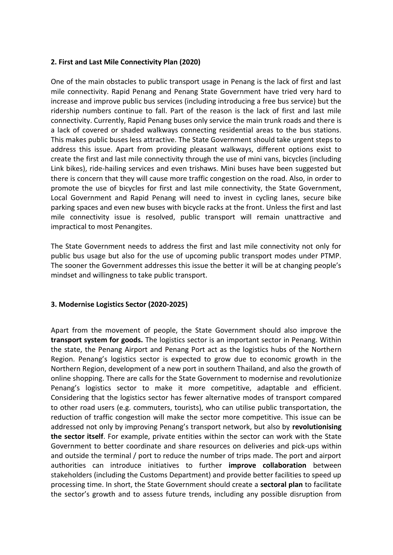#### **2. First and Last Mile Connectivity Plan (2020)**

One of the main obstacles to public transport usage in Penang is the lack of first and last mile connectivity. Rapid Penang and Penang State Government have tried very hard to increase and improve public bus services (including introducing a free bus service) but the ridership numbers continue to fall. Part of the reason is the lack of first and last mile connectivity. Currently, Rapid Penang buses only service the main trunk roads and there is a lack of covered or shaded walkways connecting residential areas to the bus stations. This makes public buses less attractive. The State Government should take urgent steps to address this issue. Apart from providing pleasant walkways, different options exist to create the first and last mile connectivity through the use of mini vans, bicycles (including Link bikes), ride-hailing services and even trishaws. Mini buses have been suggested but there is concern that they will cause more traffic congestion on the road. Also, in order to promote the use of bicycles for first and last mile connectivity, the State Government, Local Government and Rapid Penang will need to invest in cycling lanes, secure bike parking spaces and even new buses with bicycle racks at the front. Unless the first and last mile connectivity issue is resolved, public transport will remain unattractive and impractical to most Penangites.

The State Government needs to address the first and last mile connectivity not only for public bus usage but also for the use of upcoming public transport modes under PTMP. The sooner the Government addresses this issue the better it will be at changing people's mindset and willingness to take public transport.

#### **3. Modernise Logistics Sector (2020-2025)**

Apart from the movement of people, the State Government should also improve the **transport system for goods.** The logistics sector is an important sector in Penang. Within the state, the Penang Airport and Penang Port act as the logistics hubs of the Northern Region. Penang's logistics sector is expected to grow due to economic growth in the Northern Region, development of a new port in southern Thailand, and also the growth of online shopping. There are calls for the State Government to modernise and revolutionize Penang's logistics sector to make it more competitive, adaptable and efficient. Considering that the logistics sector has fewer alternative modes of transport compared to other road users (e.g. commuters, tourists), who can utilise public transportation, the reduction of traffic congestion will make the sector more competitive. This issue can be addressed not only by improving Penang's transport network, but also by **revolutionising the sector itself**. For example, private entities within the sector can work with the State Government to better coordinate and share resources on deliveries and pick-ups within and outside the terminal / port to reduce the number of trips made. The port and airport authorities can introduce initiatives to further **improve collaboration** between stakeholders (including the Customs Department) and provide better facilities to speed up processing time. In short, the State Government should create a **sectoral plan** to facilitate the sector's growth and to assess future trends, including any possible disruption from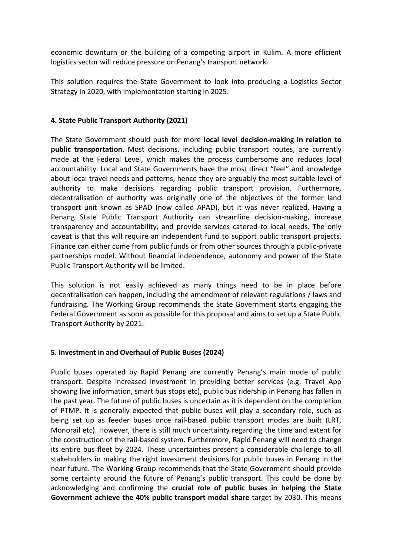economic downturn or the building of a competing airport in Kulim. A more efficient logistics sector will reduce pressure on Penang's transport network.

This solution requires the State Government to look into producing a Logistics Sector Strategy in 2020, with implementation starting in 2025.

#### **4. State Public Transport Authority (2021)**

The State Government should push for more **local level decision-making in relation to public transportation**. Most decisions, including public transport routes, are currently made at the Federal Level, which makes the process cumbersome and reduces local accountability. Local and State Governments have the most direct "feel" and knowledge about local travel needs and patterns, hence they are arguably the most suitable level of authority to make decisions regarding public transport provision. Furthermore, decentralisation of authority was originally one of the objectives of the former land transport unit known as SPAD (now called APAD), but it was never realized. Having a Penang State Public Transport Authority can streamline decision-making, increase transparency and accountability, and provide services catered to local needs. The only caveat is that this will require an independent fund to support public transport projects. Finance can either come from public funds or from other sources through a public-private partnerships model. Without financial independence, autonomy and power of the State Public Transport Authority will be limited.

This solution is not easily achieved as many things need to be in place before decentralisation can happen, including the amendment of relevant regulations / laws and fundraising. The Working Group recommends the State Government starts engaging the Federal Government as soon as possible for this proposal and aims to set up a State Public Transport Authority by 2021.

#### **5. Investment in and Overhaul of Public Buses (2024)**

Public buses operated by Rapid Penang are currently Penang's main mode of public transport. Despite increased investment in providing better services (e.g. Travel App showing live information, smart bus stops etc), public bus ridership in Penang has fallen in the past year. The future of public buses is uncertain as it is dependent on the completion of PTMP. It is generally expected that public buses will play a secondary role, such as being set up as feeder buses once rail-based public transport modes are built (LRT, Monorail etc). However, there is still much uncertainty regarding the time and extent for the construction of the rail-based system. Furthermore, Rapid Penang will need to change its entire bus fleet by 2024. These uncertainties present a considerable challenge to all stakeholders in making the right investment decisions for public buses in Penang in the near future. The Working Group recommends that the State Government should provide some certainty around the future of Penang's public transport. This could be done by acknowledging and confirming the **crucial role of public buses in helping the State Government achieve the 40% public transport modal share** target by 2030. This means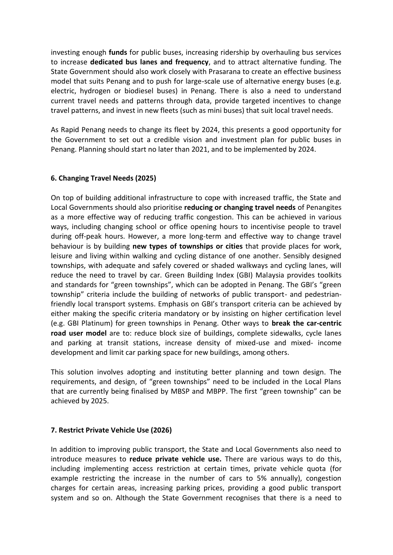investing enough **funds** for public buses, increasing ridership by overhauling bus services to increase **dedicated bus lanes and frequency**, and to attract alternative funding. The State Government should also work closely with Prasarana to create an effective business model that suits Penang and to push for large-scale use of alternative energy buses (e.g. electric, hydrogen or biodiesel buses) in Penang. There is also a need to understand current travel needs and patterns through data, provide targeted incentives to change travel patterns, and invest in new fleets (such as mini buses) that suit local travel needs.

As Rapid Penang needs to change its fleet by 2024, this presents a good opportunity for the Government to set out a credible vision and investment plan for public buses in Penang. Planning should start no later than 2021, and to be implemented by 2024.

#### **6. Changing Travel Needs (2025)**

On top of building additional infrastructure to cope with increased traffic, the State and Local Governments should also prioritise **reducing or changing travel needs** of Penangites as a more effective way of reducing traffic congestion. This can be achieved in various ways, including changing school or office opening hours to incentivise people to travel during off-peak hours. However, a more long-term and effective way to change travel behaviour is by building **new types of townships or cities** that provide places for work, leisure and living within walking and cycling distance of one another. Sensibly designed townships, with adequate and safely covered or shaded walkways and cycling lanes, will reduce the need to travel by car. Green Building Index (GBI) Malaysia provides toolkits and standards for "green townships", which can be adopted in Penang. The GBI's "green township" criteria include the building of networks of public transport- and pedestrianfriendly local transport systems. Emphasis on GBI's transport criteria can be achieved by either making the specific criteria mandatory or by insisting on higher certification level (e.g. GBI Platinum) for green townships in Penang. Other ways to **break the car-centric road user model** are to: reduce block size of buildings, complete sidewalks, cycle lanes and parking at transit stations, increase density of mixed-use and mixed- income development and limit car parking space for new buildings, among others.

This solution involves adopting and instituting better planning and town design. The requirements, and design, of "green townships" need to be included in the Local Plans that are currently being finalised by MBSP and MBPP. The first "green township" can be achieved by 2025.

#### **7. Restrict Private Vehicle Use (2026)**

In addition to improving public transport, the State and Local Governments also need to introduce measures to **reduce private vehicle use.** There are various ways to do this, including implementing access restriction at certain times, private vehicle quota (for example restricting the increase in the number of cars to 5% annually), congestion charges for certain areas, increasing parking prices, providing a good public transport system and so on. Although the State Government recognises that there is a need to